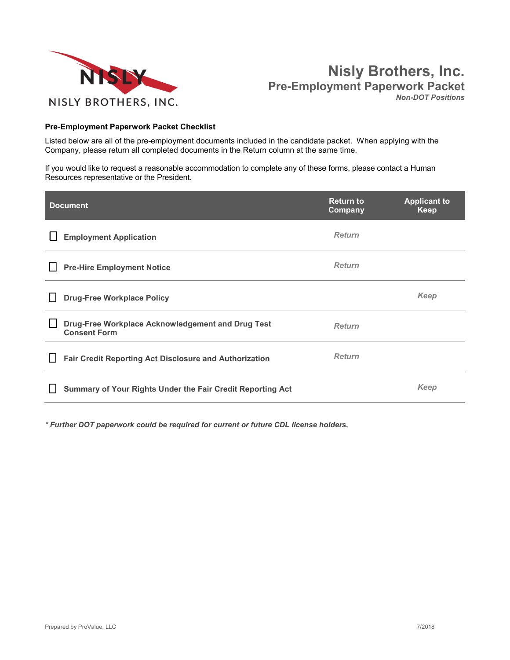



#### **Pre-Employment Paperwork Packet Checklist**

Listed below are all of the pre-employment documents included in the candidate packet. When applying with the Company, please return all completed documents in the Return column at the same time.

If you would like to request a reasonable accommodation to complete any of these forms, please contact a Human Resources representative or the President.

| <b>Document</b>                                                          | <b>Return to</b><br>Company | <b>Applicant to</b><br>Keep |
|--------------------------------------------------------------------------|-----------------------------|-----------------------------|
| <b>Employment Application</b>                                            | <b>Return</b>               |                             |
| <b>Pre-Hire Employment Notice</b>                                        | <b>Return</b>               |                             |
| <b>Drug-Free Workplace Policy</b>                                        |                             | Keep                        |
| Drug-Free Workplace Acknowledgement and Drug Test<br><b>Consent Form</b> | <b>Return</b>               |                             |
| <b>Fair Credit Reporting Act Disclosure and Authorization</b>            | <b>Return</b>               |                             |
| Summary of Your Rights Under the Fair Credit Reporting Act               |                             | Keep                        |

*\* Further DOT paperwork could be required for current or future CDL license holders.*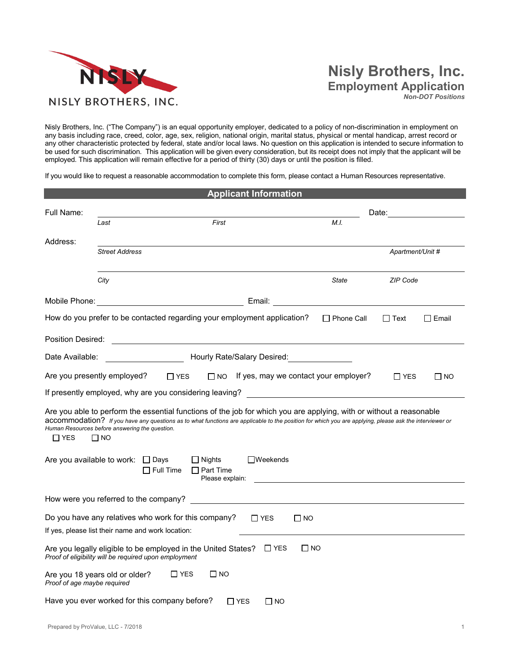

## **Nisly Brothers, Inc. Employment Application**

*Non-DOT Positions*

Nisly Brothers, Inc. ("The Company") is an equal opportunity employer, dedicated to a policy of non-discrimination in employment on any basis including race, creed, color, age, sex, religion, national origin, marital status, physical or mental handicap, arrest record or any other characteristic protected by federal, state and/or local laws. No question on this application is intended to secure information to be used for such discrimination. This application will be given every consideration, but its receipt does not imply that the applicant will be employed. This application will remain effective for a period of thirty (30) days or until the position is filled.

If you would like to request a reasonable accommodation to complete this form, please contact a Human Resources representative.

|                                                               |                       |                                                                                                                        |                                                      |            | <b>Applicant Information</b> |           |                                                                                                                                                                                                                                                                               |                  |           |
|---------------------------------------------------------------|-----------------------|------------------------------------------------------------------------------------------------------------------------|------------------------------------------------------|------------|------------------------------|-----------|-------------------------------------------------------------------------------------------------------------------------------------------------------------------------------------------------------------------------------------------------------------------------------|------------------|-----------|
| Full Name:                                                    |                       |                                                                                                                        |                                                      |            |                              |           |                                                                                                                                                                                                                                                                               | Date:            |           |
|                                                               | Last                  |                                                                                                                        | First                                                |            |                              |           | M.I.                                                                                                                                                                                                                                                                          |                  |           |
| Address:                                                      | <b>Street Address</b> |                                                                                                                        |                                                      |            |                              |           |                                                                                                                                                                                                                                                                               | Apartment/Unit # |           |
|                                                               |                       |                                                                                                                        |                                                      |            |                              |           |                                                                                                                                                                                                                                                                               |                  |           |
|                                                               | City                  |                                                                                                                        |                                                      |            |                              |           | State                                                                                                                                                                                                                                                                         | ZIP Code         |           |
|                                                               |                       |                                                                                                                        |                                                      | Email:     |                              |           |                                                                                                                                                                                                                                                                               |                  |           |
|                                                               |                       | How do you prefer to be contacted regarding your employment application?                                               |                                                      |            |                              |           | □ Phone Call                                                                                                                                                                                                                                                                  | $\Box$ Text      | ∐ Email   |
| Position Desired:                                             |                       | <u> 1989 - Johann Barbara, martin amerikan basal dan berasal dalam basal dalam basal dalam basal dalam basal dala</u>  |                                                      |            |                              |           |                                                                                                                                                                                                                                                                               |                  |           |
| Date Available:                                               |                       | Hourly Rate/Salary Desired:                                                                                            |                                                      |            |                              |           |                                                                                                                                                                                                                                                                               |                  |           |
| Are you presently employed?                                   |                       | $\Box$ YES                                                                                                             |                                                      |            |                              |           | $\Box$ NO If yes, may we contact your employer?                                                                                                                                                                                                                               | $\Gamma$ YES     | $\Box$ No |
|                                                               |                       |                                                                                                                        |                                                      |            |                              |           | If presently employed, why are you considering leaving?                                                                                                                                                                                                                       |                  |           |
| Human Resources before answering the question.<br>$\Box$ YES  | $\Box$ NO             |                                                                                                                        |                                                      |            |                              |           | Are you able to perform the essential functions of the job for which you are applying, with or without a reasonable<br>accommodation? If you have any questions as to what functions are applicable to the position for which you are applying, please ask the interviewer or |                  |           |
| Are you available to work: □ Days                             |                       | $\Box$ Full Time                                                                                                       | $\Box$ Nights<br>$\Box$ Part Time<br>Please explain: |            | $\Box$ Weekends              |           |                                                                                                                                                                                                                                                                               |                  |           |
| How were you referred to the company?                         |                       |                                                                                                                        |                                                      |            |                              |           |                                                                                                                                                                                                                                                                               |                  |           |
|                                                               |                       | Do you have any relatives who work for this company?<br>If yes, please list their name and work location:              |                                                      |            | $\Box$ YES                   | $\Box$ NO |                                                                                                                                                                                                                                                                               |                  |           |
|                                                               |                       | Are you legally eligible to be employed in the United States?<br>Proof of eligibility will be required upon employment |                                                      |            | $\sqcup$ YES                 | $\Box$ NO |                                                                                                                                                                                                                                                                               |                  |           |
| Are you 18 years old or older?<br>Proof of age maybe required |                       | $\Box$ YES                                                                                                             | $\Box$ NO                                            |            |                              |           |                                                                                                                                                                                                                                                                               |                  |           |
|                                                               |                       | Have you ever worked for this company before?                                                                          |                                                      | $\Box$ YES | $\Box$ No                    |           |                                                                                                                                                                                                                                                                               |                  |           |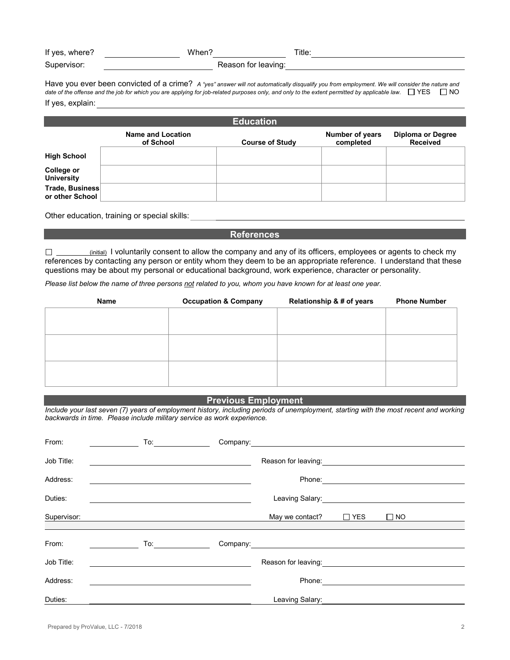| If yes, where? | When?               | Γitle∶ |
|----------------|---------------------|--------|
| Supervisor:    | Reason for leaving: |        |

Have you ever been convicted of a crime? *A "yes" answer will not automatically disqualify you from employment. We will consider the nature and*  date of the offense and the job for which you are applying for job-related purposes only, and only to the extent permitted by applicable law.  $\Box$  YES  $\Box$  NO If yes, explain:

| <b>Education</b>                       |                                |                        |                                     |                                             |  |
|----------------------------------------|--------------------------------|------------------------|-------------------------------------|---------------------------------------------|--|
|                                        | Name and Location<br>of School | <b>Course of Study</b> | <b>Number of years</b><br>completed | <b>Diploma or Degree</b><br><b>Received</b> |  |
| <b>High School</b>                     |                                |                        |                                     |                                             |  |
| <b>College or</b><br><b>University</b> |                                |                        |                                     |                                             |  |
| Trade, Business<br>or other School     |                                |                        |                                     |                                             |  |

Other education, training or special skills:

#### **References**

 $\square$  (initial) I voluntarily consent to allow the company and any of its officers, employees or agents to check my references by contacting any person or entity whom they deem to be an appropriate reference. I understand that these questions may be about my personal or educational background, work experience, character or personality.

*Please list below the name of three persons not related to you, whom you have known for at least one year.*

| Name | <b>Occupation &amp; Company</b> | Relationship & # of years | <b>Phone Number</b> |
|------|---------------------------------|---------------------------|---------------------|
|      |                                 |                           |                     |
|      |                                 |                           |                     |
|      |                                 |                           |                     |
|      |                                 |                           |                     |
|      |                                 |                           |                     |
|      |                                 |                           |                     |
|      |                                 |                           |                     |

#### **Previous Employment**

*Include your last seven (7) years of employment history, including periods of unemployment, starting with the most recent and working backwards in time. Please include military service as work experience.*

| From:       | To: | Company: <u>company:</u>                   |            |           |
|-------------|-----|--------------------------------------------|------------|-----------|
| Job Title:  |     | Reason for leaving:                        |            |           |
| Address:    |     | Phone:                                     |            |           |
| Duties:     |     | Leaving Salary:<br><u> Leaving Salary:</u> |            |           |
| Supervisor: |     | May we contact?                            | $\Box$ YES | $\Box$ NO |
|             |     |                                            |            |           |
| From:       | To: | Company: <u>company: company: company:</u> |            |           |
| Job Title:  |     | Reason for leaving:                        |            |           |
| Address:    |     | Phone:                                     |            |           |
| Duties:     |     | Leaving Salary:                            |            |           |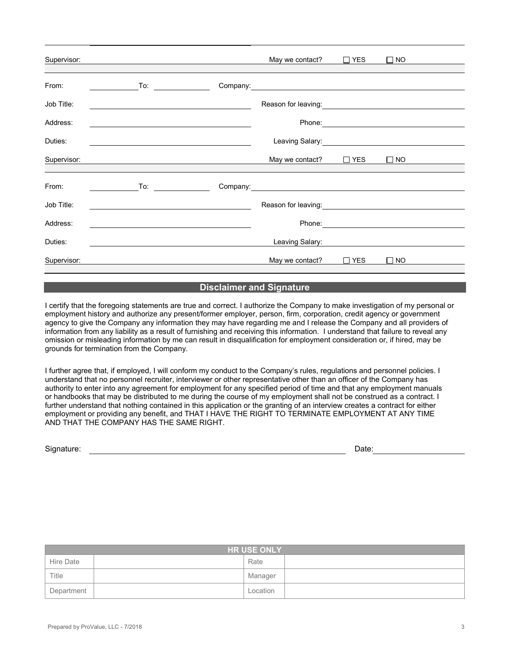| Supervisor: | <u> 1980 - Johann John Stone, markin sanadi kanalisi samani yang berlandar personal dan berlandar samani dan seb</u> | May we contact?                                                                                                                                                                                                                      | $\Box$ YES | $\square$ NO |  |
|-------------|----------------------------------------------------------------------------------------------------------------------|--------------------------------------------------------------------------------------------------------------------------------------------------------------------------------------------------------------------------------------|------------|--------------|--|
| From:       |                                                                                                                      | Company: <u>company:</u>                                                                                                                                                                                                             |            |              |  |
| Job Title:  | <u> 1980 - Johann Barbara, martxa alemaniar amerikan a</u>                                                           |                                                                                                                                                                                                                                      |            |              |  |
| Address:    |                                                                                                                      |                                                                                                                                                                                                                                      |            |              |  |
| Duties:     |                                                                                                                      |                                                                                                                                                                                                                                      |            |              |  |
| Supervisor: | <u> 1989 - Johann John Stone, Amerikaansk politiker († 1908)</u>                                                     | May we contact? $\Box$ YES                                                                                                                                                                                                           |            | $\square$ NO |  |
| From:       | <u> 1999 - Jan Barat III, prima prima prima prima prima prima prima prima prima prima prima prima prima prima pr</u> |                                                                                                                                                                                                                                      |            |              |  |
| Job Title:  | <u> 1989 - Johann Barbara, martin amerikan personal (</u>                                                            | Reason for leaving: <u>contained and the set of the set of the set of the set of the set of the set of the set of the set of the set of the set of the set of the set of the set of the set of the set of the set of the set of </u> |            |              |  |
| Address:    | <u> 1980 - Johann John Stone, markin fizik eta idazlearia (h. 1980).</u>                                             |                                                                                                                                                                                                                                      |            |              |  |
| Duties:     |                                                                                                                      | Leaving Salary:                                                                                                                                                                                                                      |            |              |  |
| Supervisor: |                                                                                                                      | May we contact?                                                                                                                                                                                                                      | $\Box$ YES | $\square$ NO |  |
|             |                                                                                                                      |                                                                                                                                                                                                                                      |            |              |  |

#### **Disclaimer and Signature**

I certify that the foregoing statements are true and correct. I authorize the Company to make investigation of my personal or employment history and authorize any present/former employer, person, firm, corporation, credit agency or government agency to give the Company any information they may have regarding me and I release the Company and all providers of information from any liability as a result of furnishing and receiving this information. I understand that failure to reveal any omission or misleading information by me can result in disqualification for employment consideration or, if hired, may be grounds for termination from the Company.

I further agree that, if employed, I will conform my conduct to the Company's rules, regulations and personnel policies. I understand that no personnel recruiter, interviewer or other representative other than an officer of the Company has authority to enter into any agreement for employment for any specified period of time and that any employment manuals or handbooks that may be distributed to me during the course of my employment shall not be construed as a contract. I further understand that nothing contained in this application or the granting of an interview creates a contract for either employment or providing any benefit, and THAT I HAVE THE RIGHT TO TERMINATE EMPLOYMENT AT ANY TIME AND THAT THE COMPANY HAS THE SAME RIGHT.

Signature: Date: Detection of the contract of the contract of the contract of the contract of the contract of the contract of the contract of the contract of the contract of the contract of the contract of the contract of

| <b>HR USE ONLY</b> |          |  |  |  |
|--------------------|----------|--|--|--|
| Hire Date          | Rate     |  |  |  |
| Title              | Manager  |  |  |  |
| Department         | Location |  |  |  |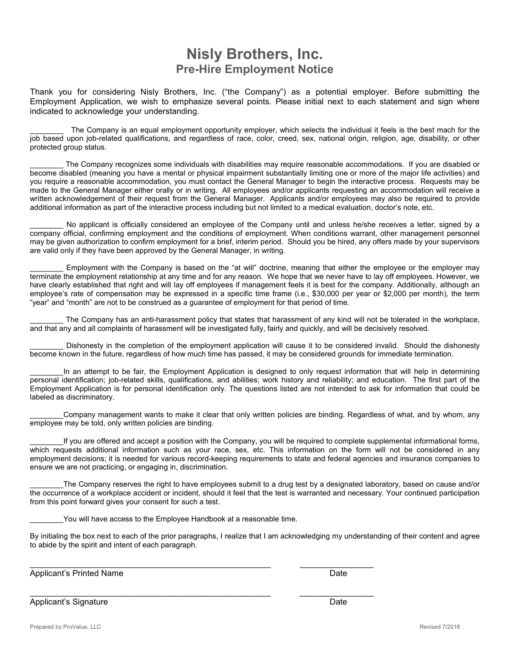### **Nisly Brothers, Inc. Pre-Hire Employment Notice**

Thank you for considering Nisly Brothers, Inc. ("the Company") as a potential employer. Before submitting the Employment Application, we wish to emphasize several points. Please initial next to each statement and sign where indicated to acknowledge your understanding.

\_\_\_\_\_\_\_\_ The Company is an equal employment opportunity employer, which selects the individual it feels is the best mach for the job based upon job-related qualifications, and regardless of race, color, creed, sex, national origin, religion, age, disability, or other protected group status.

The Company recognizes some individuals with disabilities may require reasonable accommodations. If you are disabled or become disabled (meaning you have a mental or physical impairment substantially limiting one or more of the major life activities) and you require a reasonable accommodation, you must contact the General Manager to begin the interactive process. Requests may be made to the General Manager either orally or in writing. All employees and/or applicants requesting an accommodation will receive a written acknowledgement of their request from the General Manager. Applicants and/or employees may also be required to provide additional information as part of the interactive process including but not limited to a medical evaluation, doctor's note, etc.

No applicant is officially considered an employee of the Company until and unless he/she receives a letter, signed by a company official, confirming employment and the conditions of employment. When conditions warrant, other management personnel may be given authorization to confirm employment for a brief, interim period. Should you be hired, any offers made by your supervisors are valid only if they have been approved by the General Manager, in writing.

Employment with the Company is based on the "at will" doctrine, meaning that either the employee or the employer may terminate the employment relationship at any time and for any reason. We hope that we never have to lay off employees. However, we have clearly established that right and will lay off employees if management feels it is best for the company. Additionally, although an employee's rate of compensation may be expressed in a specific time frame (i.e., \$30,000 per year or \$2,000 per month), the term "year" and "month" are not to be construed as a guarantee of employment for that period of time.

The Company has an anti-harassment policy that states that harassment of any kind will not be tolerated in the workplace, and that any and all complaints of harassment will be investigated fully, fairly and quickly, and will be decisively resolved.

Dishonesty in the completion of the employment application will cause it to be considered invalid. Should the dishonesty become known in the future, regardless of how much time has passed, it may be considered grounds for immediate termination.

In an attempt to be fair, the Employment Application is designed to only request information that will help in determining personal identification; job-related skills, qualifications, and abilities; work history and reliability; and education. The first part of the Employment Application is for personal identification only. The questions listed are not intended to ask for information that could be labeled as discriminatory.

\_\_\_\_\_\_\_\_Company management wants to make it clear that only written policies are binding. Regardless of what, and by whom, any employee may be told, only written policies are binding.

If you are offered and accept a position with the Company, you will be required to complete supplemental informational forms, which requests additional information such as your race, sex, etc. This information on the form will not be considered in any employment decisions; it is needed for various record-keeping requirements to state and federal agencies and insurance companies to ensure we are not practicing, or engaging in, discrimination.

The Company reserves the right to have employees submit to a drug test by a designated laboratory, based on cause and/or the occurrence of a workplace accident or incident, should it feel that the test is warranted and necessary. Your continued participation from this point forward gives your consent for such a test.

You will have access to the Employee Handbook at a reasonable time.

\_\_\_\_\_\_\_\_\_\_\_\_\_\_\_\_\_\_\_\_\_\_\_\_\_\_\_\_\_\_\_\_\_\_\_\_\_\_\_\_\_\_\_\_\_\_\_\_\_\_\_\_ \_\_\_\_\_\_\_\_\_\_\_\_\_\_\_\_

\_\_\_\_\_\_\_\_\_\_\_\_\_\_\_\_\_\_\_\_\_\_\_\_\_\_\_\_\_\_\_\_\_\_\_\_\_\_\_\_\_\_\_\_\_\_\_\_\_\_\_\_ \_\_\_\_\_\_\_\_\_\_\_\_\_\_\_\_

By initialing the box next to each of the prior paragraphs, I realize that I am acknowledging my understanding of their content and agree to abide by the spirit and intent of each paragraph.

Applicant's Printed Name **Date 2018** 2019 12:30 Applicant's Printed Name

Applicant's Signature **Date** Date of *Applicant's* Signature Date Date of *Date* Date of *Date*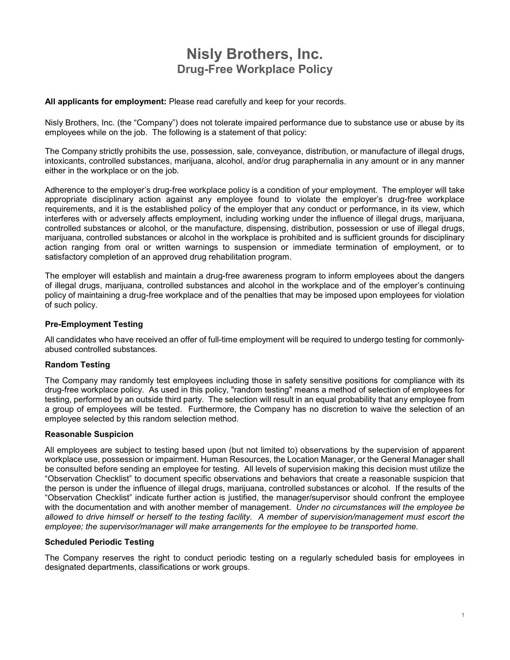## **Nisly Brothers, Inc. Drug-Free Workplace Policy**

**All applicants for employment:** Please read carefully and keep for your records.

Nisly Brothers, Inc. (the "Company") does not tolerate impaired performance due to substance use or abuse by its employees while on the job. The following is a statement of that policy:

The Company strictly prohibits the use, possession, sale, conveyance, distribution, or manufacture of illegal drugs, intoxicants, controlled substances, marijuana, alcohol, and/or drug paraphernalia in any amount or in any manner either in the workplace or on the job.

Adherence to the employer's drug-free workplace policy is a condition of your employment. The employer will take appropriate disciplinary action against any employee found to violate the employer's drug-free workplace requirements, and it is the established policy of the employer that any conduct or performance, in its view, which interferes with or adversely affects employment, including working under the influence of illegal drugs, marijuana, controlled substances or alcohol, or the manufacture, dispensing, distribution, possession or use of illegal drugs, marijuana, controlled substances or alcohol in the workplace is prohibited and is sufficient grounds for disciplinary action ranging from oral or written warnings to suspension or immediate termination of employment, or to satisfactory completion of an approved drug rehabilitation program.

The employer will establish and maintain a drug-free awareness program to inform employees about the dangers of illegal drugs, marijuana, controlled substances and alcohol in the workplace and of the employer's continuing policy of maintaining a drug-free workplace and of the penalties that may be imposed upon employees for violation of such policy.

#### **Pre-Employment Testing**

All candidates who have received an offer of full-time employment will be required to undergo testing for commonlyabused controlled substances.

#### **Random Testing**

The Company may randomly test employees including those in safety sensitive positions for compliance with its drug-free workplace policy. As used in this policy, "random testing" means a method of selection of employees for testing, performed by an outside third party. The selection will result in an equal probability that any employee from a group of employees will be tested. Furthermore, the Company has no discretion to waive the selection of an employee selected by this random selection method.

#### **Reasonable Suspicion**

All employees are subject to testing based upon (but not limited to) observations by the supervision of apparent workplace use, possession or impairment. Human Resources, the Location Manager, or the General Manager shall be consulted before sending an employee for testing. All levels of supervision making this decision must utilize the "Observation Checklist" to document specific observations and behaviors that create a reasonable suspicion that the person is under the influence of illegal drugs, marijuana, controlled substances or alcohol. If the results of the "Observation Checklist" indicate further action is justified, the manager/supervisor should confront the employee with the documentation and with another member of management. *Under no circumstances will the employee be allowed to drive himself or herself to the testing facility. A member of supervision/management must escort the employee; the supervisor/manager will make arrangements for the employee to be transported home.*

#### **Scheduled Periodic Testing**

The Company reserves the right to conduct periodic testing on a regularly scheduled basis for employees in designated departments, classifications or work groups.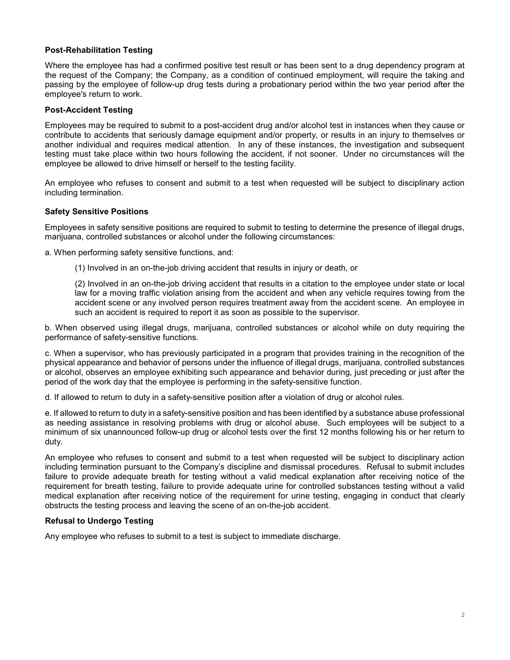#### **Post-Rehabilitation Testing**

Where the employee has had a confirmed positive test result or has been sent to a drug dependency program at the request of the Company; the Company, as a condition of continued employment, will require the taking and passing by the employee of follow-up drug tests during a probationary period within the two year period after the employee's return to work.

#### **Post-Accident Testing**

Employees may be required to submit to a post-accident drug and/or alcohol test in instances when they cause or contribute to accidents that seriously damage equipment and/or property, or results in an injury to themselves or another individual and requires medical attention. In any of these instances, the investigation and subsequent testing must take place within two hours following the accident, if not sooner. Under no circumstances will the employee be allowed to drive himself or herself to the testing facility.

An employee who refuses to consent and submit to a test when requested will be subject to disciplinary action including termination.

#### **Safety Sensitive Positions**

Employees in safety sensitive positions are required to submit to testing to determine the presence of illegal drugs, marijuana, controlled substances or alcohol under the following circumstances:

a. When performing safety sensitive functions, and:

(1) Involved in an on-the-job driving accident that results in injury or death, or

(2) Involved in an on-the-job driving accident that results in a citation to the employee under state or local law for a moving traffic violation arising from the accident and when any vehicle requires towing from the accident scene or any involved person requires treatment away from the accident scene. An employee in such an accident is required to report it as soon as possible to the supervisor.

b. When observed using illegal drugs, marijuana, controlled substances or alcohol while on duty requiring the performance of safety-sensitive functions.

c. When a supervisor, who has previously participated in a program that provides training in the recognition of the physical appearance and behavior of persons under the influence of illegal drugs, marijuana, controlled substances or alcohol, observes an employee exhibiting such appearance and behavior during, just preceding or just after the period of the work day that the employee is performing in the safety-sensitive function.

d. If allowed to return to duty in a safety-sensitive position after a violation of drug or alcohol rules.

e. If allowed to return to duty in a safety-sensitive position and has been identified by a substance abuse professional as needing assistance in resolving problems with drug or alcohol abuse. Such employees will be subject to a minimum of six unannounced follow-up drug or alcohol tests over the first 12 months following his or her return to duty.

An employee who refuses to consent and submit to a test when requested will be subject to disciplinary action including termination pursuant to the Company's discipline and dismissal procedures. Refusal to submit includes failure to provide adequate breath for testing without a valid medical explanation after receiving notice of the requirement for breath testing, failure to provide adequate urine for controlled substances testing without a valid medical explanation after receiving notice of the requirement for urine testing, engaging in conduct that clearly obstructs the testing process and leaving the scene of an on-the-job accident.

#### **Refusal to Undergo Testing**

Any employee who refuses to submit to a test is subject to immediate discharge.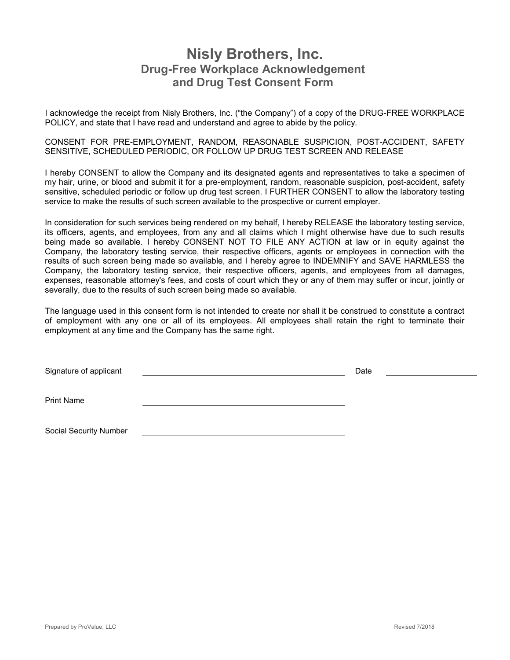### **Nisly Brothers, Inc. Drug-Free Workplace Acknowledgement and Drug Test Consent Form**

I acknowledge the receipt from Nisly Brothers, Inc. ("the Company") of a copy of the DRUG-FREE WORKPLACE POLICY, and state that I have read and understand and agree to abide by the policy.

CONSENT FOR PRE-EMPLOYMENT, RANDOM, REASONABLE SUSPICION, POST-ACCIDENT, SAFETY SENSITIVE, SCHEDULED PERIODIC, OR FOLLOW UP DRUG TEST SCREEN AND RELEASE

I hereby CONSENT to allow the Company and its designated agents and representatives to take a specimen of my hair, urine, or blood and submit it for a pre-employment, random, reasonable suspicion, post-accident, safety sensitive, scheduled periodic or follow up drug test screen. I FURTHER CONSENT to allow the laboratory testing service to make the results of such screen available to the prospective or current employer.

In consideration for such services being rendered on my behalf, I hereby RELEASE the laboratory testing service, its officers, agents, and employees, from any and all claims which I might otherwise have due to such results being made so available. I hereby CONSENT NOT TO FILE ANY ACTION at law or in equity against the Company, the laboratory testing service, their respective officers, agents or employees in connection with the results of such screen being made so available, and I hereby agree to INDEMNIFY and SAVE HARMLESS the Company, the laboratory testing service, their respective officers, agents, and employees from all damages, expenses, reasonable attorney's fees, and costs of court which they or any of them may suffer or incur, jointly or severally, due to the results of such screen being made so available.

The language used in this consent form is not intended to create nor shall it be construed to constitute a contract of employment with any one or all of its employees. All employees shall retain the right to terminate their employment at any time and the Company has the same right.

| Signature of applicant | Date |  |
|------------------------|------|--|
| <b>Print Name</b>      |      |  |
| Social Security Number |      |  |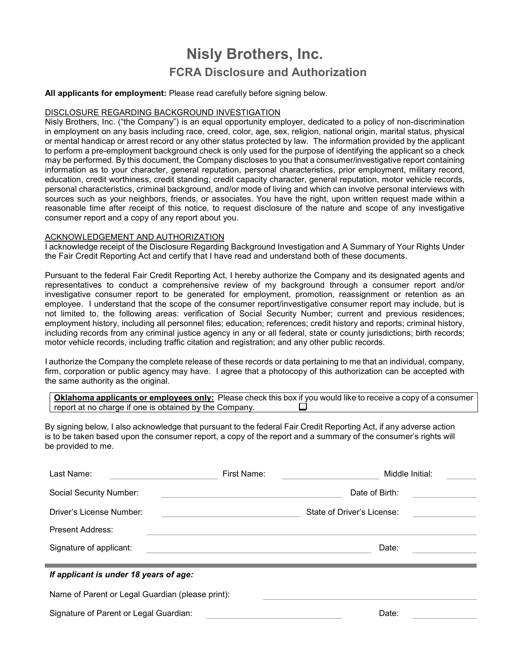# **Nisly Brothers, Inc. FCRA Disclosure and Authorization**

#### **All applicants for employment:** Please read carefully before signing below.

#### DISCLOSURE REGARDING BACKGROUND INVESTIGATION

Nisly Brothers, Inc. ("the Company") is an equal opportunity employer, dedicated to a policy of non-discrimination in employment on any basis including race, creed, color, age, sex, religion, national origin, marital status, physical or mental handicap or arrest record or any other status protected by law. The information provided by the applicant to perform a pre-employment background check is only used for the purpose of identifying the applicant so a check may be performed. By this document, the Company discloses to you that a consumer/investigative report containing information as to your character, general reputation, personal characteristics, prior employment, military record, education, credit worthiness, credit standing, credit capacity character, general reputation, motor vehicle records, personal characteristics, criminal background, and/or mode of living and which can involve personal interviews with sources such as your neighbors, friends, or associates. You have the right, upon written request made within a reasonable time after receipt of this notice, to request disclosure of the nature and scope of any investigative consumer report and a copy of any report about you.

#### ACKNOWLEDGEMENT AND AUTHORIZATION

I acknowledge receipt of the Disclosure Regarding Background Investigation and A Summary of Your Rights Under the Fair Credit Reporting Act and certify that I have read and understand both of these documents.

Pursuant to the federal Fair Credit Reporting Act, I hereby authorize the Company and its designated agents and representatives to conduct a comprehensive review of my background through a consumer report and/or investigative consumer report to be generated for employment, promotion, reassignment or retention as an employee. I understand that the scope of the consumer report/investigative consumer report may include, but is not limited to, the following areas: verification of Social Security Number; current and previous residences; employment history, including all personnel files; education; references; credit history and reports; criminal history, including records from any criminal justice agency in any or all federal, state or county jurisdictions; birth records; motor vehicle records, including traffic citation and registration; and any other public records.

I authorize the Company the complete release of these records or data pertaining to me that an individual, company, firm, corporation or public agency may have. I agree that a photocopy of this authorization can be accepted with the same authority as the original.

**Oklahoma applicants or employees only:** Please check this box if you would like to receive a copy of a consumer report at no charge if one is obtained by the Company.

By signing below, I also acknowledge that pursuant to the federal Fair Credit Reporting Act, if any adverse action is to be taken based upon the consumer report, a copy of the report and a summary of the consumer's rights will be provided to me.

| Last Name:                                       | First Name: | Middle Initial:            |  |
|--------------------------------------------------|-------------|----------------------------|--|
| Social Security Number:                          |             | Date of Birth:             |  |
| Driver's License Number:                         |             | State of Driver's License: |  |
| Present Address:                                 |             |                            |  |
| Signature of applicant:                          |             | Date:                      |  |
|                                                  |             |                            |  |
| If applicant is under 18 years of age:           |             |                            |  |
| Name of Parent or Legal Guardian (please print): |             |                            |  |

Signature of Parent or Legal Guardian: Date: Date: Date: Date: Date: Date: Date: Date: Date: Date: Date: Date: Date: Date: Date: Date: Date: Date: Date: Date: Date: Date: Date: Date: Date: Date: Date: Date: Date: Date: Dat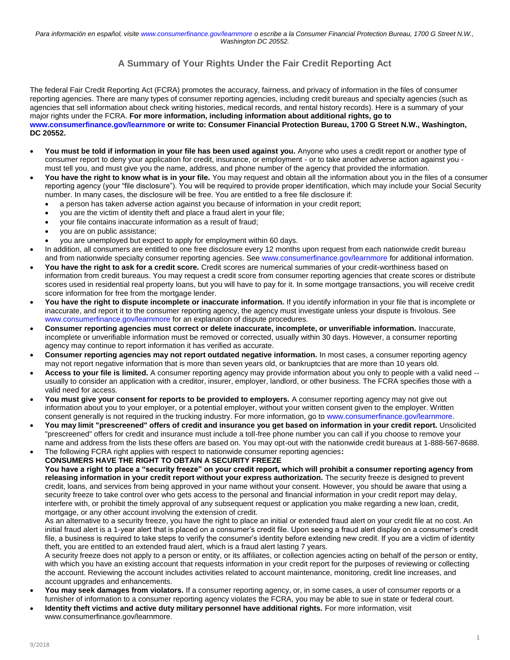### **A Summary of Your Rights Under the Fair Credit Reporting Act**

The federal Fair Credit Reporting Act (FCRA) promotes the accuracy, fairness, and privacy of information in the files of consumer reporting agencies. There are many types of consumer reporting agencies, including credit bureaus and specialty agencies (such as agencies that sell information about check writing histories, medical records, and rental history records). Here is a summary of your major rights under the FCRA. **For more information, including information about additional rights, go to www.consumerfinance.gov/learnmore or write to: Consumer Financial Protection Bureau, 1700 G Street N.W., Washington, DC 20552.** 

- **You must be told if information in your file has been used against you.** Anyone who uses a credit report or another type of consumer report to deny your application for credit, insurance, or employment - or to take another adverse action against you must tell you, and must give you the name, address, and phone number of the agency that provided the information.
- **You have the right to know what is in your file.** You may request and obtain all the information about you in the files of a consumer reporting agency (your "file disclosure"). You will be required to provide proper identification, which may include your Social Security number. In many cases, the disclosure will be free. You are entitled to a free file disclosure if:
	- a person has taken adverse action against you because of information in your credit report;
	- you are the victim of identity theft and place a fraud alert in your file;
	- your file contains inaccurate information as a result of fraud;
	- you are on public assistance;
	- you are unemployed but expect to apply for employment within 60 days.
- In addition, all consumers are entitled to one free disclosure every 12 months upon request from each nationwide credit bureau and from nationwide specialty consumer reporting agencies. See www.consumerfinance.gov/learnmore for additional information.
- **You have the right to ask for a credit score.** Credit scores are numerical summaries of your credit-worthiness based on information from credit bureaus. You may request a credit score from consumer reporting agencies that create scores or distribute scores used in residential real property loans, but you will have to pay for it. In some mortgage transactions, you will receive credit score information for free from the mortgage lender.
- **You have the right to dispute incomplete or inaccurate information.** If you identify information in your file that is incomplete or inaccurate, and report it to the consumer reporting agency, the agency must investigate unless your dispute is frivolous. See www.consumerfinance.gov/learnmore for an explanation of dispute procedures.
- **Consumer reporting agencies must correct or delete inaccurate, incomplete, or unverifiable information.** Inaccurate, incomplete or unverifiable information must be removed or corrected, usually within 30 days. However, a consumer reporting agency may continue to report information it has verified as accurate.
- **Consumer reporting agencies may not report outdated negative information.** In most cases, a consumer reporting agency may not report negative information that is more than seven years old, or bankruptcies that are more than 10 years old.
- **Access to your file is limited.** A consumer reporting agency may provide information about you only to people with a valid need usually to consider an application with a creditor, insurer, employer, landlord, or other business. The FCRA specifies those with a valid need for access.
- **You must give your consent for reports to be provided to employers.** A consumer reporting agency may not give out information about you to your employer, or a potential employer, without your written consent given to the employer. Written consent generally is not required in the trucking industry. For more information, go to www.consumerfinance.gov/learnmore.
- **You may limit "prescreened" offers of credit and insurance you get based on information in your credit report.** Unsolicited "prescreened" offers for credit and insurance must include a toll-free phone number you can call if you choose to remove your name and address from the lists these offers are based on. You may opt-out with the nationwide credit bureaus at 1-888-567-8688.
- The following FCRA right applies with respect to nationwide consumer reporting agencies**:**

**CONSUMERS HAVE THE RIGHT TO OBTAIN A SECURITY FREEZE You have a right to place a "security freeze" on your credit report, which will prohibit a consumer reporting agency from releasing information in your credit report without your express authorization.** The security freeze is designed to prevent credit, loans, and services from being approved in your name without your consent. However, you should be aware that using a security freeze to take control over who gets access to the personal and financial information in your credit report may delay, interfere with, or prohibit the timely approval of any subsequent request or application you make regarding a new loan, credit, mortgage, or any other account involving the extension of credit.

As an alternative to a security freeze, you have the right to place an initial or extended fraud alert on your credit file at no cost. An initial fraud alert is a 1-year alert that is placed on a consumer's credit file. Upon seeing a fraud alert display on a consumer's credit file, a business is required to take steps to verify the consumer's identity before extending new credit. If you are a victim of identity theft, you are entitled to an extended fraud alert, which is a fraud alert lasting 7 years.

A security freeze does not apply to a person or entity, or its affiliates, or collection agencies acting on behalf of the person or entity, with which you have an existing account that requests information in your credit report for the purposes of reviewing or collecting the account. Reviewing the account includes activities related to account maintenance, monitoring, credit line increases, and account upgrades and enhancements.

- **You may seek damages from violators.** If a consumer reporting agency, or, in some cases, a user of consumer reports or a furnisher of information to a consumer reporting agency violates the FCRA, you may be able to sue in state or federal court.
- **Identity theft victims and active duty military personnel have additional rights.** For more information, visit www.consumerfinance.gov/learnmore.